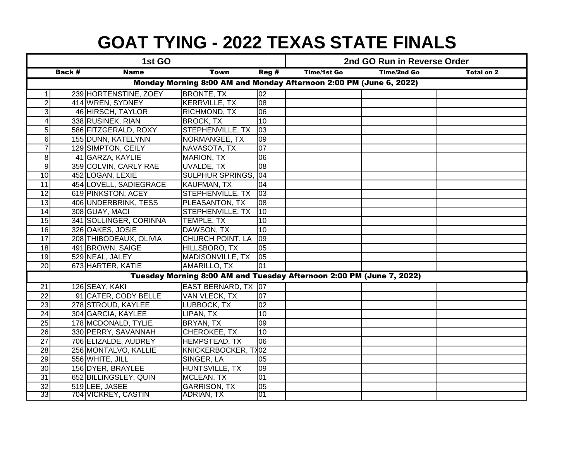| 1st GO                                                             |  |                        |                                                                      |                 | 2nd GO Run in Reverse Order |            |  |  |  |
|--------------------------------------------------------------------|--|------------------------|----------------------------------------------------------------------|-----------------|-----------------------------|------------|--|--|--|
| <b>Name</b><br>Back #<br>Town                                      |  |                        | Reg#                                                                 | Time/1st Go     | Time/2nd Go                 | Total on 2 |  |  |  |
| Monday Morning 8:00 AM and Monday Afternoon 2:00 PM (June 6, 2022) |  |                        |                                                                      |                 |                             |            |  |  |  |
| 1                                                                  |  | 239 HORTENSTINE, ZOEY  | <b>BRONTE, TX</b>                                                    | 02              |                             |            |  |  |  |
| $\overline{2}$                                                     |  | 414 WREN, SYDNEY       | <b>KERRVILLE, TX</b>                                                 | $\overline{80}$ |                             |            |  |  |  |
| 3                                                                  |  | 46 HIRSCH, TAYLOR      | RICHMOND, TX                                                         | 06              |                             |            |  |  |  |
| $\overline{\mathbf{4}}$                                            |  | 338 RUSINEK, RIAN      | <b>BROCK, TX</b>                                                     | 10              |                             |            |  |  |  |
| $\overline{5}$                                                     |  | 586 FITZGERALD, ROXY   | STEPHENVILLE, TX                                                     | 03              |                             |            |  |  |  |
| 6                                                                  |  | 155 DUNN, KATELYNN     | NORMANGEE, TX                                                        | 09              |                             |            |  |  |  |
| $\overline{7}$                                                     |  | 129 SIMPTON, CEILY     | NAVASOTA, TX                                                         | 07              |                             |            |  |  |  |
| 8                                                                  |  | 41 GARZA, KAYLIE       | <b>MARION, TX</b>                                                    | 06              |                             |            |  |  |  |
| $\overline{9}$                                                     |  | 359 COLVIN, CARLY RAE  | <b>UVALDE, TX</b>                                                    | 08              |                             |            |  |  |  |
| 10                                                                 |  | 452 LOGAN, LEXIE       | <b>SULPHUR SPRINGS, 04</b>                                           |                 |                             |            |  |  |  |
| 11                                                                 |  | 454 LOVELL, SADIEGRACE | KAUFMAN, TX                                                          | 04              |                             |            |  |  |  |
| 12                                                                 |  | 619 PINKSTON, ACEY     | STEPHENVILLE, TX                                                     | $ 03\rangle$    |                             |            |  |  |  |
| 13                                                                 |  | 406 UNDERBRINK, TESS   | PLEASANTON, TX                                                       | $ 08\rangle$    |                             |            |  |  |  |
| 14                                                                 |  | 308 GUAY, MACI         | <b>STEPHENVILLE, TX</b>                                              | $\overline{10}$ |                             |            |  |  |  |
| 15                                                                 |  | 341 SOLLINGER, CORINNA | TEMPLE, TX                                                           | 10              |                             |            |  |  |  |
| $\overline{16}$                                                    |  | 326 OAKES, JOSIE       | DAWSON, TX                                                           | 10              |                             |            |  |  |  |
| $\overline{17}$                                                    |  | 208 THIBODEAUX, OLIVIA | <b>CHURCH POINT, LA</b>                                              | $ 09\rangle$    |                             |            |  |  |  |
| 18                                                                 |  | 491 BROWN, SAIGE       | HILLSBORO, TX                                                        | 05              |                             |            |  |  |  |
| 19                                                                 |  | 529 NEAL, JALEY        | MADISONVILLE, TX                                                     | 05              |                             |            |  |  |  |
| $\overline{20}$                                                    |  | 673 HARTER, KATIE      | <b>AMARILLO, TX</b>                                                  | 01              |                             |            |  |  |  |
|                                                                    |  |                        | Tuesday Morning 8:00 AM and Tuesday Afternoon 2:00 PM (June 7, 2022) |                 |                             |            |  |  |  |
| $\overline{21}$                                                    |  | 126 SEAY, KAKI         | EAST BERNARD, TX 07                                                  |                 |                             |            |  |  |  |
| $\overline{22}$                                                    |  | 91 CATER, CODY BELLE   | <b>VAN VLECK, TX</b>                                                 | 07              |                             |            |  |  |  |
| $\overline{23}$                                                    |  | 278 STROUD, KAYLEE     | LUBBOCK, TX                                                          | 02              |                             |            |  |  |  |
| $\overline{24}$                                                    |  | 304 GARCIA, KAYLEE     | LIPAN, TX                                                            | 10              |                             |            |  |  |  |
| $\overline{25}$                                                    |  | 178 MCDONALD, TYLIE    | BRYAN, TX                                                            | 09              |                             |            |  |  |  |
| $\overline{26}$                                                    |  | 330 PERRY, SAVANNAH    | CHEROKEE, TX                                                         | 10              |                             |            |  |  |  |
| $\overline{27}$                                                    |  | 706 ELIZALDE, AUDREY   | <b>HEMPSTEAD, TX</b>                                                 | 06              |                             |            |  |  |  |
| 28                                                                 |  | 256 MONTALVO, KALLIE   | KNICKERBOCKER, TX02                                                  |                 |                             |            |  |  |  |
| 29                                                                 |  | 556 WHITE, JILL        | SINGER, LA                                                           | 05              |                             |            |  |  |  |
| $\overline{30}$                                                    |  | 156 DYER, BRAYLEE      | HUNTSVILLE, TX                                                       | 09              |                             |            |  |  |  |
| 31                                                                 |  | 652 BILLINGSLEY, QUIN  | <b>MCLEAN, TX</b>                                                    | 01              |                             |            |  |  |  |
| $\overline{32}$                                                    |  | 519 LEE, JASEE         | <b>GARRISON, TX</b>                                                  | 05              |                             |            |  |  |  |
| 33                                                                 |  | 704 VICKREY, CASTIN    | ADRIAN, TX                                                           | <b>01</b>       |                             |            |  |  |  |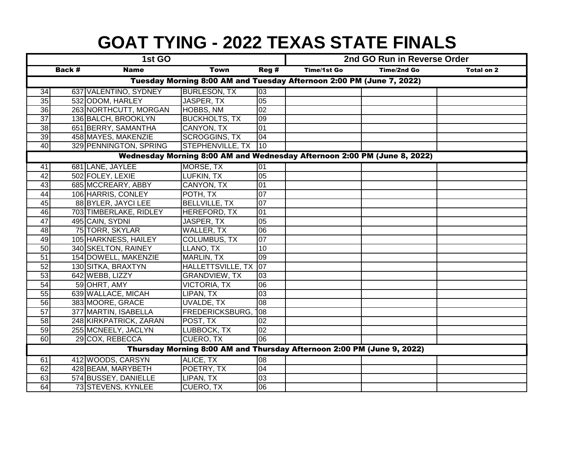|                                                                        |                                                                          | 1st GO                 |                      | 2nd GO Run in Reverse Order |                    |             |                   |  |  |  |  |
|------------------------------------------------------------------------|--------------------------------------------------------------------------|------------------------|----------------------|-----------------------------|--------------------|-------------|-------------------|--|--|--|--|
|                                                                        | Back #                                                                   | <b>Name</b>            | <b>Town</b>          | Reg #                       | <b>Time/1st Go</b> | Time/2nd Go | <b>Total on 2</b> |  |  |  |  |
|                                                                        | Tuesday Morning 8:00 AM and Tuesday Afternoon 2:00 PM (June 7, 2022)     |                        |                      |                             |                    |             |                   |  |  |  |  |
| 34                                                                     |                                                                          | 637 VALENTINO, SYDNEY  | <b>BURLESON, TX</b>  | 03                          |                    |             |                   |  |  |  |  |
| $\overline{35}$                                                        |                                                                          | 532 ODOM, HARLEY       | JASPER, TX           | $\overline{05}$             |                    |             |                   |  |  |  |  |
| 36                                                                     |                                                                          | 263 NORTHCUTT, MORGAN  | HOBBS, NM            | 02                          |                    |             |                   |  |  |  |  |
| $\overline{37}$                                                        |                                                                          | 136 BALCH, BROOKLYN    | <b>BUCKHOLTS, TX</b> | 09                          |                    |             |                   |  |  |  |  |
| $\overline{38}$                                                        |                                                                          | 651 BERRY, SAMANTHA    | <b>CANYON, TX</b>    | 01                          |                    |             |                   |  |  |  |  |
| 39                                                                     |                                                                          | 458 MAYES, MAKENZIE    | <b>SCROGGINS, TX</b> | 04                          |                    |             |                   |  |  |  |  |
| 40                                                                     |                                                                          | 329 PENNINGTON, SPRING | STEPHENVILLE, TX     | 10                          |                    |             |                   |  |  |  |  |
|                                                                        | Wednesday Morning 8:00 AM and Wednesday Afternoon 2:00 PM (June 8, 2022) |                        |                      |                             |                    |             |                   |  |  |  |  |
| 41                                                                     |                                                                          | 681 LANE, JAYLEE       | MORSE, TX            | 01                          |                    |             |                   |  |  |  |  |
| 42                                                                     |                                                                          | 502 FOLEY, LEXIE       | LUFKIN, TX           | $\overline{05}$             |                    |             |                   |  |  |  |  |
| 43                                                                     |                                                                          | 685 MCCREARY, ABBY     | <b>CANYON, TX</b>    | 01                          |                    |             |                   |  |  |  |  |
| 44                                                                     |                                                                          | 106 HARRIS, CONLEY     | POTH, TX             | 07                          |                    |             |                   |  |  |  |  |
| 45                                                                     |                                                                          | 88 BYLER, JAYCI LEE    | <b>BELLVILLE, TX</b> | 07                          |                    |             |                   |  |  |  |  |
| 46                                                                     |                                                                          | 703 TIMBERLAKE, RIDLEY | <b>HEREFORD, TX</b>  | 01                          |                    |             |                   |  |  |  |  |
| $\overline{47}$                                                        |                                                                          | 495 CAIN, SYDNI        | JASPER, TX           | 05                          |                    |             |                   |  |  |  |  |
| $\overline{48}$                                                        |                                                                          | 75 TORR, SKYLAR        | WALLER, TX           | 06                          |                    |             |                   |  |  |  |  |
| 49                                                                     |                                                                          | 105 HARKNESS, HAILEY   | <b>COLUMBUS, TX</b>  | 07                          |                    |             |                   |  |  |  |  |
| 50                                                                     |                                                                          | 340 SKELTON, RAINEY    | LLANO, TX            | 10                          |                    |             |                   |  |  |  |  |
| 51                                                                     |                                                                          | 154 DOWELL, MAKENZIE   | <b>MARLIN, TX</b>    | 09                          |                    |             |                   |  |  |  |  |
| 52                                                                     |                                                                          | 130 SITKA, BRAXTYN     | HALLETTSVILLE, TX 07 |                             |                    |             |                   |  |  |  |  |
| 53                                                                     |                                                                          | 642 WEBB, LIZZY        | <b>GRANDVIEW, TX</b> | 03                          |                    |             |                   |  |  |  |  |
| 54                                                                     |                                                                          | 59 OHRT, AMY           | <b>VICTORIA, TX</b>  | 06                          |                    |             |                   |  |  |  |  |
| 55                                                                     |                                                                          | 639 WALLACE, MICAH     | LIPAN, TX            | 03                          |                    |             |                   |  |  |  |  |
| 56                                                                     |                                                                          | 383 MOORE, GRACE       | UVALDE, TX           | 08                          |                    |             |                   |  |  |  |  |
| $\overline{57}$                                                        |                                                                          | 377 MARTIN, ISABELLA   | FREDERICKSBURG,      | 108                         |                    |             |                   |  |  |  |  |
| 58                                                                     |                                                                          | 248 KIRKPATRICK, ZARAN | POST, TX             | 02                          |                    |             |                   |  |  |  |  |
| 59                                                                     |                                                                          | 255 MCNEELY, JACLYN    | LUBBOCK, TX          | 02                          |                    |             |                   |  |  |  |  |
| 60                                                                     |                                                                          | 29 COX, REBECCA        | <b>CUERO, TX</b>     | 06                          |                    |             |                   |  |  |  |  |
| Thursday Morning 8:00 AM and Thursday Afternoon 2:00 PM (June 9, 2022) |                                                                          |                        |                      |                             |                    |             |                   |  |  |  |  |
| 61                                                                     |                                                                          | 412 WOODS, CARSYN      | ALICE, TX            | 08                          |                    |             |                   |  |  |  |  |
| 62                                                                     |                                                                          | 428 BEAM, MARYBETH     | POETRY, TX           | 04                          |                    |             |                   |  |  |  |  |
| 63                                                                     |                                                                          | 574 BUSSEY, DANIELLE   | LIPAN, TX            | 03                          |                    |             |                   |  |  |  |  |
| 64                                                                     |                                                                          | 73 STEVENS, KYNLEE     | <b>CUERO, TX</b>     | 06                          |                    |             |                   |  |  |  |  |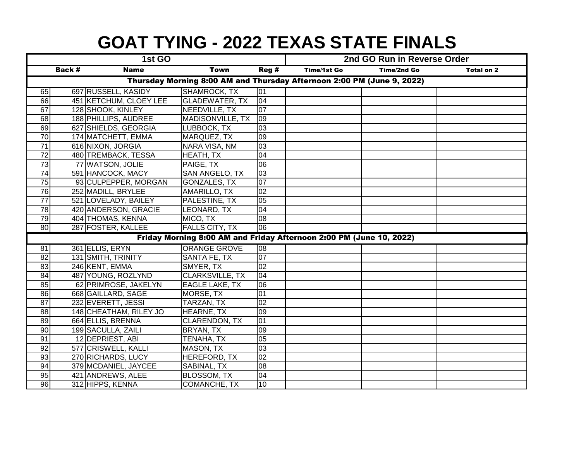| 1st GO                                                                 |        |                        |                                                                     |                    | 2nd GO Run in Reverse Order |                   |  |  |  |
|------------------------------------------------------------------------|--------|------------------------|---------------------------------------------------------------------|--------------------|-----------------------------|-------------------|--|--|--|
|                                                                        | Back # | <b>Name</b>            | <b>Town</b>                                                         | <b>Time/1st Go</b> | Time/2nd Go                 | <b>Total on 2</b> |  |  |  |
| Thursday Morning 8:00 AM and Thursday Afternoon 2:00 PM (June 9, 2022) |        |                        |                                                                     |                    |                             |                   |  |  |  |
| 65                                                                     |        | 697 RUSSELL, KASIDY    | <b>SHAMROCK, TX</b>                                                 | 01                 |                             |                   |  |  |  |
| 66                                                                     |        | 451 KETCHUM, CLOEY LEE | <b>GLADEWATER, TX</b>                                               | 04                 |                             |                   |  |  |  |
| 67                                                                     |        | 128 SHOOK, KINLEY      | NEEDVILLE, TX                                                       | $\overline{07}$    |                             |                   |  |  |  |
| 68                                                                     |        | 188 PHILLIPS, AUDREE   | MADISONVILLE, TX                                                    | 109                |                             |                   |  |  |  |
| 69                                                                     |        | 627 SHIELDS, GEORGIA   | LUBBOCK, TX                                                         | 03                 |                             |                   |  |  |  |
| $\overline{70}$                                                        |        | 174 MATCHETT, EMMA     | MARQUEZ, TX                                                         | 09                 |                             |                   |  |  |  |
| $\overline{71}$                                                        |        | 616 NIXON, JORGIA      | NARA VISA, NM                                                       | 03                 |                             |                   |  |  |  |
| $\overline{72}$                                                        |        | 480 TREMBACK, TESSA    | HEATH, TX                                                           | 04                 |                             |                   |  |  |  |
| $\overline{73}$                                                        |        | 77 WATSON, JOLIE       | PAIGE, TX                                                           | 06                 |                             |                   |  |  |  |
| $\overline{74}$                                                        |        | 591 HANCOCK, MACY      | SAN ANGELO, TX                                                      | 03                 |                             |                   |  |  |  |
| $\overline{75}$                                                        |        | 93 CULPEPPER, MORGAN   | <b>GONZALES, TX</b>                                                 | 07                 |                             |                   |  |  |  |
| 76                                                                     |        | 252 MADILL, BRYLEE     | AMARILLO, TX                                                        | 02                 |                             |                   |  |  |  |
| $\overline{77}$                                                        |        | 521 LOVELADY, BAILEY   | PALESTINE, TX                                                       | 05                 |                             |                   |  |  |  |
| 78                                                                     |        | 420 ANDERSON, GRACIE   | LEONARD, TX                                                         | 04                 |                             |                   |  |  |  |
| 79                                                                     |        | 404 THOMAS, KENNA      | MICO, TX                                                            | 08                 |                             |                   |  |  |  |
| 80                                                                     |        | 287 FOSTER, KALLEE     | <b>FALLS CITY, TX</b>                                               | 06                 |                             |                   |  |  |  |
|                                                                        |        |                        | Friday Morning 8:00 AM and Friday Afternoon 2:00 PM (June 10, 2022) |                    |                             |                   |  |  |  |
| 81                                                                     |        | 361 ELLIS, ERYN        | <b>ORANGE GROVE</b>                                                 | 08                 |                             |                   |  |  |  |
| $\overline{82}$                                                        |        | 131 SMITH, TRINITY     | SANTA FE, TX                                                        | 07                 |                             |                   |  |  |  |
| $\overline{83}$                                                        |        | 246 KENT, EMMA         | SMYER, TX                                                           | 02                 |                             |                   |  |  |  |
| 84                                                                     |        | 487 YOUNG, ROZLYND     | <b>CLARKSVILLE, TX</b>                                              | 04                 |                             |                   |  |  |  |
| 85                                                                     |        | 62 PRIMROSE, JAKELYN   | EAGLE LAKE, TX                                                      | 06                 |                             |                   |  |  |  |
| 86                                                                     |        | 668 GAILLARD, SAGE     | MORSE, TX                                                           | 01                 |                             |                   |  |  |  |
| 87                                                                     |        | 232 EVERETT, JESSI     | TARZAN, TX                                                          | 02                 |                             |                   |  |  |  |
| 88                                                                     |        | 148 CHEATHAM, RILEY JO | HEARNE, TX                                                          | 09                 |                             |                   |  |  |  |
| 89                                                                     |        | 664 ELLIS, BRENNA      | CLARENDON, TX                                                       | 01                 |                             |                   |  |  |  |
| 90                                                                     |        | 199 SACULLA, ZAILI     | BRYAN, TX                                                           | 09                 |                             |                   |  |  |  |
| 91                                                                     |        | 12 DEPRIEST, ABI       | TENAHA, TX                                                          | 05                 |                             |                   |  |  |  |
| 92                                                                     |        | 577 CRISWELL, KALLI    | MASON, TX                                                           | 03                 |                             |                   |  |  |  |
| 93                                                                     |        | 270 RICHARDS, LUCY     | HEREFORD, TX                                                        | $\overline{0}$     |                             |                   |  |  |  |
| 94                                                                     |        | 379 MCDANIEL, JAYCEE   | SABINAL, TX                                                         | 08                 |                             |                   |  |  |  |
| 95                                                                     |        | 421 ANDREWS, ALEE      | <b>BLOSSOM, TX</b>                                                  | 04                 |                             |                   |  |  |  |
| 96                                                                     |        | 312 HIPPS, KENNA       | COMANCHE, TX                                                        | 10                 |                             |                   |  |  |  |